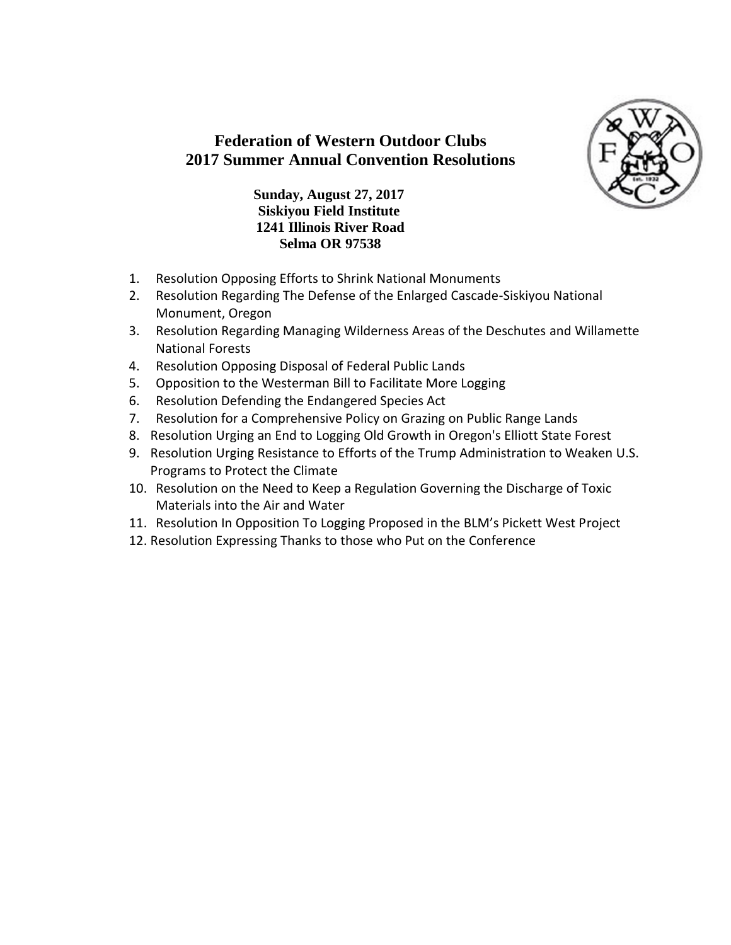

# **Federation of Western Outdoor Clubs 2017 Summer Annual Convention Resolutions**

**Sunday, August 27, 2017 Siskiyou Field Institute 1241 Illinois River Road Selma OR 97538**

- 1. Resolution Opposing Efforts to Shrink National Monuments
- 2. Resolution Regarding The Defense of the Enlarged Cascade-Siskiyou National Monument, Oregon
- 3. Resolution Regarding Managing Wilderness Areas of the Deschutes and Willamette National Forests
- 4. Resolution Opposing Disposal of Federal Public Lands
- 5. Opposition to the Westerman Bill to Facilitate More Logging
- 6. Resolution Defending the Endangered Species Act
- 7. Resolution for a Comprehensive Policy on Grazing on Public Range Lands
- 8. Resolution Urging an End to Logging Old Growth in Oregon's Elliott State Forest
- 9. Resolution Urging Resistance to Efforts of the Trump Administration to Weaken U.S. Programs to Protect the Climate
- 10. Resolution on the Need to Keep a Regulation Governing the Discharge of Toxic Materials into the Air and Water
- 11. Resolution In Opposition To Logging Proposed in the BLM's Pickett West Project
- 12. Resolution Expressing Thanks to those who Put on the Conference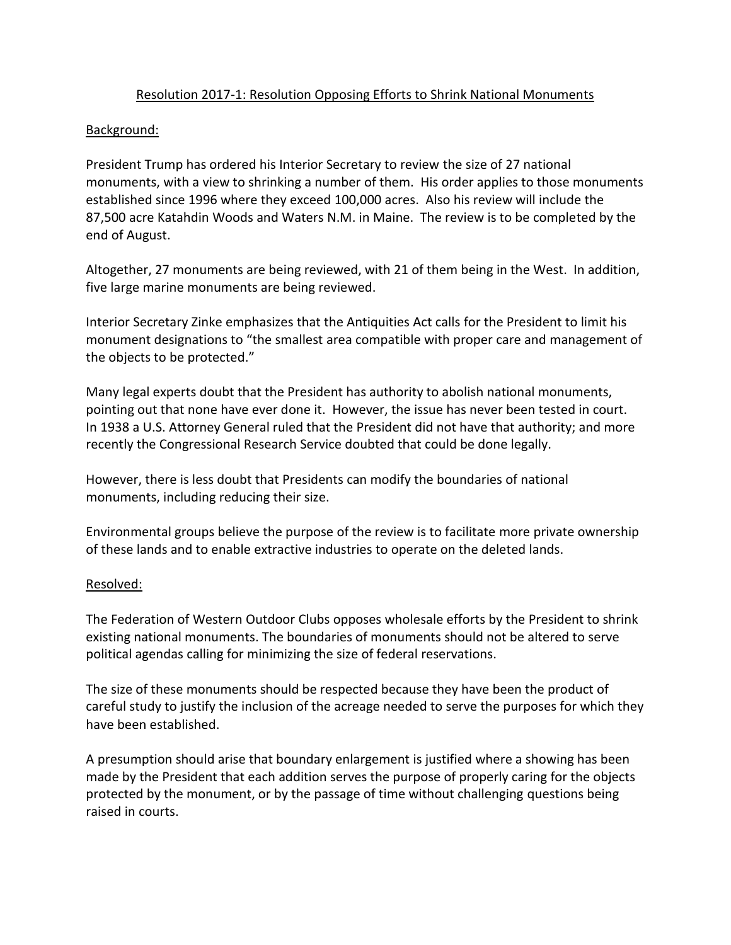#### Resolution 2017-1: Resolution Opposing Efforts to Shrink National Monuments

#### Background:

President Trump has ordered his Interior Secretary to review the size of 27 national monuments, with a view to shrinking a number of them. His order applies to those monuments established since 1996 where they exceed 100,000 acres. Also his review will include the 87,500 acre Katahdin Woods and Waters N.M. in Maine. The review is to be completed by the end of August.

Altogether, 27 monuments are being reviewed, with 21 of them being in the West. In addition, five large marine monuments are being reviewed.

Interior Secretary Zinke emphasizes that the Antiquities Act calls for the President to limit his monument designations to "the smallest area compatible with proper care and management of the objects to be protected."

Many legal experts doubt that the President has authority to abolish national monuments, pointing out that none have ever done it. However, the issue has never been tested in court. In 1938 a U.S. Attorney General ruled that the President did not have that authority; and more recently the Congressional Research Service doubted that could be done legally.

However, there is less doubt that Presidents can modify the boundaries of national monuments, including reducing their size.

Environmental groups believe the purpose of the review is to facilitate more private ownership of these lands and to enable extractive industries to operate on the deleted lands.

#### Resolved:

The Federation of Western Outdoor Clubs opposes wholesale efforts by the President to shrink existing national monuments. The boundaries of monuments should not be altered to serve political agendas calling for minimizing the size of federal reservations.

The size of these monuments should be respected because they have been the product of careful study to justify the inclusion of the acreage needed to serve the purposes for which they have been established.

A presumption should arise that boundary enlargement is justified where a showing has been made by the President that each addition serves the purpose of properly caring for the objects protected by the monument, or by the passage of time without challenging questions being raised in courts.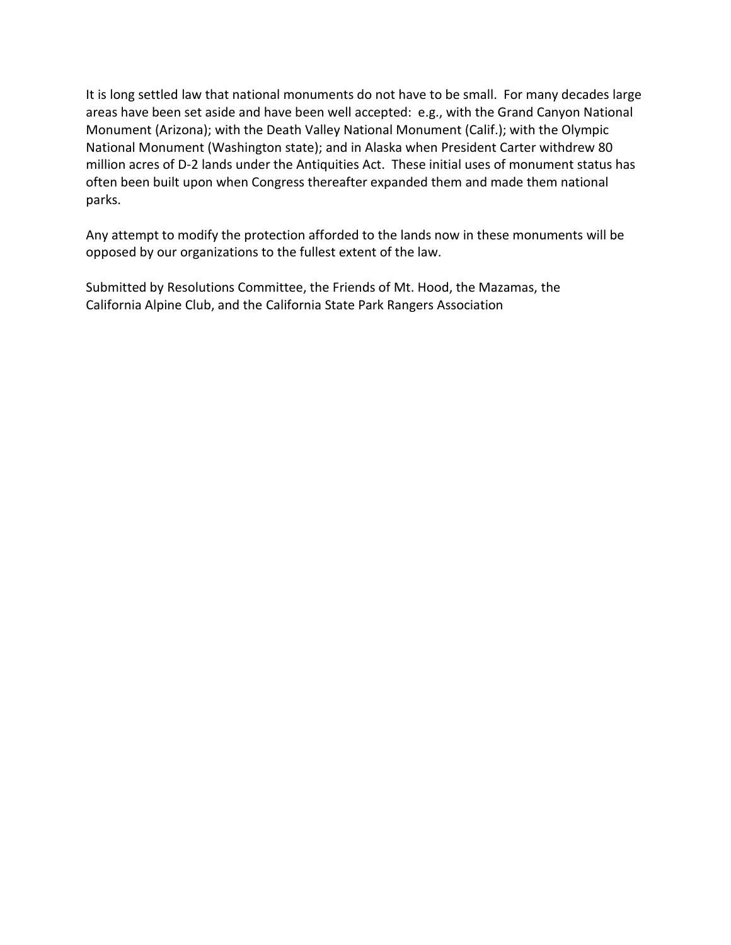It is long settled law that national monuments do not have to be small. For many decades large areas have been set aside and have been well accepted: e.g., with the Grand Canyon National Monument (Arizona); with the Death Valley National Monument (Calif.); with the Olympic National Monument (Washington state); and in Alaska when President Carter withdrew 80 million acres of D-2 lands under the Antiquities Act. These initial uses of monument status has often been built upon when Congress thereafter expanded them and made them national parks.

Any attempt to modify the protection afforded to the lands now in these monuments will be opposed by our organizations to the fullest extent of the law.

Submitted by Resolutions Committee, the Friends of Mt. Hood, the Mazamas, the California Alpine Club, and the California State Park Rangers Association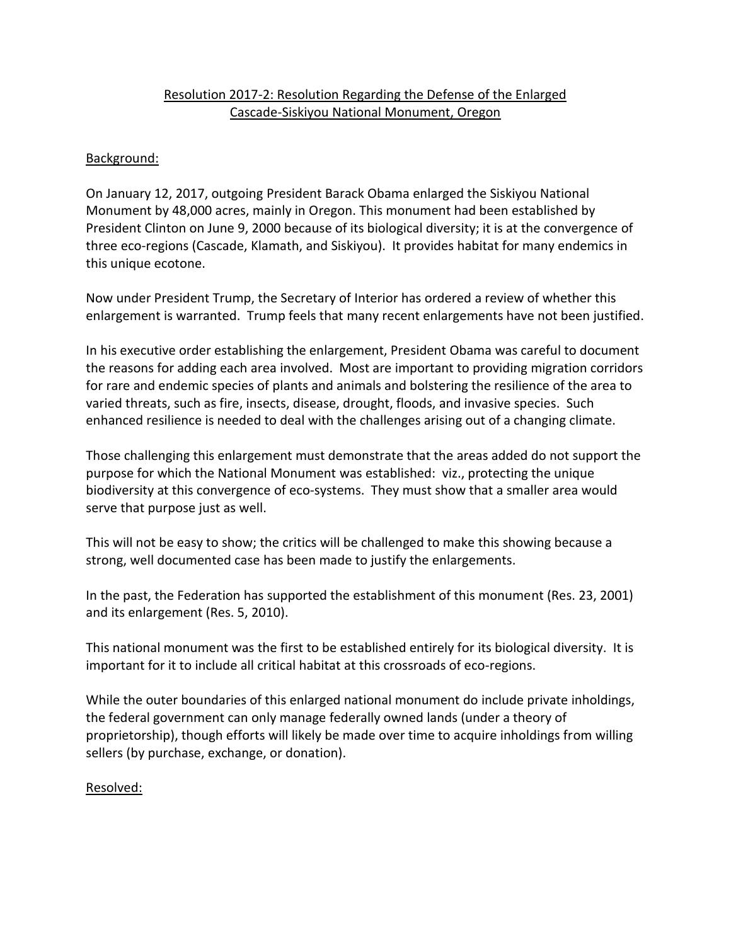### Resolution 2017-2: Resolution Regarding the Defense of the Enlarged Cascade-Siskiyou National Monument, Oregon

#### Background:

On January 12, 2017, outgoing President Barack Obama enlarged the Siskiyou National Monument by 48,000 acres, mainly in Oregon. This monument had been established by President Clinton on June 9, 2000 because of its biological diversity; it is at the convergence of three eco-regions (Cascade, Klamath, and Siskiyou). It provides habitat for many endemics in this unique ecotone.

Now under President Trump, the Secretary of Interior has ordered a review of whether this enlargement is warranted. Trump feels that many recent enlargements have not been justified.

In his executive order establishing the enlargement, President Obama was careful to document the reasons for adding each area involved. Most are important to providing migration corridors for rare and endemic species of plants and animals and bolstering the resilience of the area to varied threats, such as fire, insects, disease, drought, floods, and invasive species. Such enhanced resilience is needed to deal with the challenges arising out of a changing climate.

Those challenging this enlargement must demonstrate that the areas added do not support the purpose for which the National Monument was established: viz., protecting the unique biodiversity at this convergence of eco-systems. They must show that a smaller area would serve that purpose just as well.

This will not be easy to show; the critics will be challenged to make this showing because a strong, well documented case has been made to justify the enlargements.

In the past, the Federation has supported the establishment of this monument (Res. 23, 2001) and its enlargement (Res. 5, 2010).

This national monument was the first to be established entirely for its biological diversity. It is important for it to include all critical habitat at this crossroads of eco-regions.

While the outer boundaries of this enlarged national monument do include private inholdings, the federal government can only manage federally owned lands (under a theory of proprietorship), though efforts will likely be made over time to acquire inholdings from willing sellers (by purchase, exchange, or donation).

#### Resolved: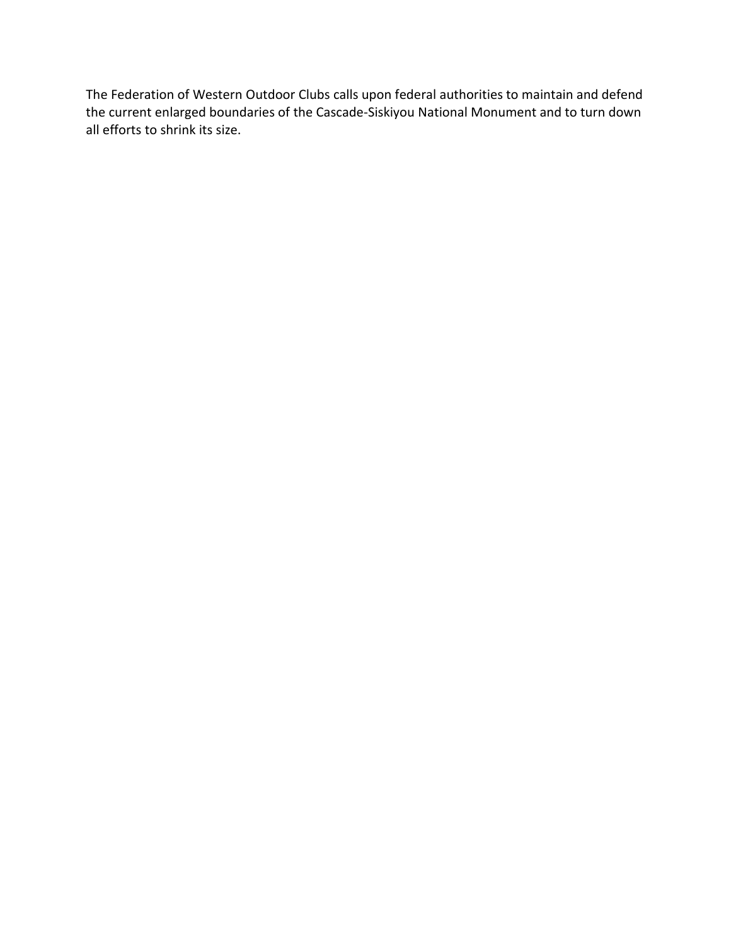The Federation of Western Outdoor Clubs calls upon federal authorities to maintain and defend the current enlarged boundaries of the Cascade-Siskiyou National Monument and to turn down all efforts to shrink its size.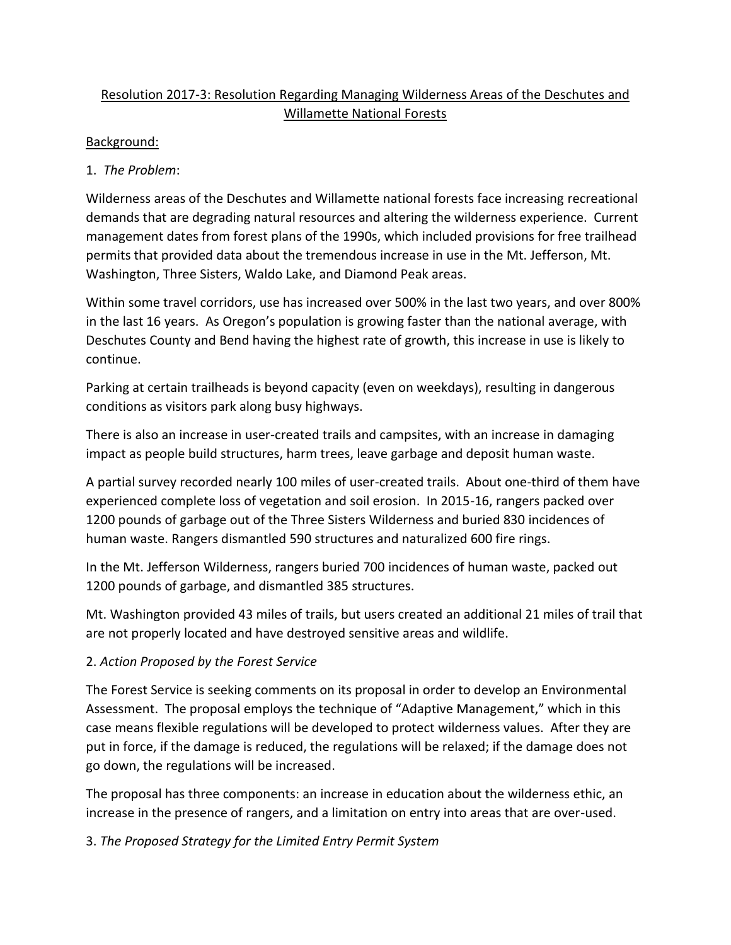# Resolution 2017-3: Resolution Regarding Managing Wilderness Areas of the Deschutes and Willamette National Forests

#### Background:

#### 1. *The Problem*:

Wilderness areas of the Deschutes and Willamette national forests face increasing recreational demands that are degrading natural resources and altering the wilderness experience. Current management dates from forest plans of the 1990s, which included provisions for free trailhead permits that provided data about the tremendous increase in use in the Mt. Jefferson, Mt. Washington, Three Sisters, Waldo Lake, and Diamond Peak areas.

Within some travel corridors, use has increased over 500% in the last two years, and over 800% in the last 16 years. As Oregon's population is growing faster than the national average, with Deschutes County and Bend having the highest rate of growth, this increase in use is likely to continue.

Parking at certain trailheads is beyond capacity (even on weekdays), resulting in dangerous conditions as visitors park along busy highways.

There is also an increase in user-created trails and campsites, with an increase in damaging impact as people build structures, harm trees, leave garbage and deposit human waste.

A partial survey recorded nearly 100 miles of user-created trails. About one-third of them have experienced complete loss of vegetation and soil erosion. In 2015-16, rangers packed over 1200 pounds of garbage out of the Three Sisters Wilderness and buried 830 incidences of human waste. Rangers dismantled 590 structures and naturalized 600 fire rings.

In the Mt. Jefferson Wilderness, rangers buried 700 incidences of human waste, packed out 1200 pounds of garbage, and dismantled 385 structures.

Mt. Washington provided 43 miles of trails, but users created an additional 21 miles of trail that are not properly located and have destroyed sensitive areas and wildlife.

#### 2. *Action Proposed by the Forest Service*

The Forest Service is seeking comments on its proposal in order to develop an Environmental Assessment. The proposal employs the technique of "Adaptive Management," which in this case means flexible regulations will be developed to protect wilderness values. After they are put in force, if the damage is reduced, the regulations will be relaxed; if the damage does not go down, the regulations will be increased.

The proposal has three components: an increase in education about the wilderness ethic, an increase in the presence of rangers, and a limitation on entry into areas that are over-used.

#### 3. *The Proposed Strategy for the Limited Entry Permit System*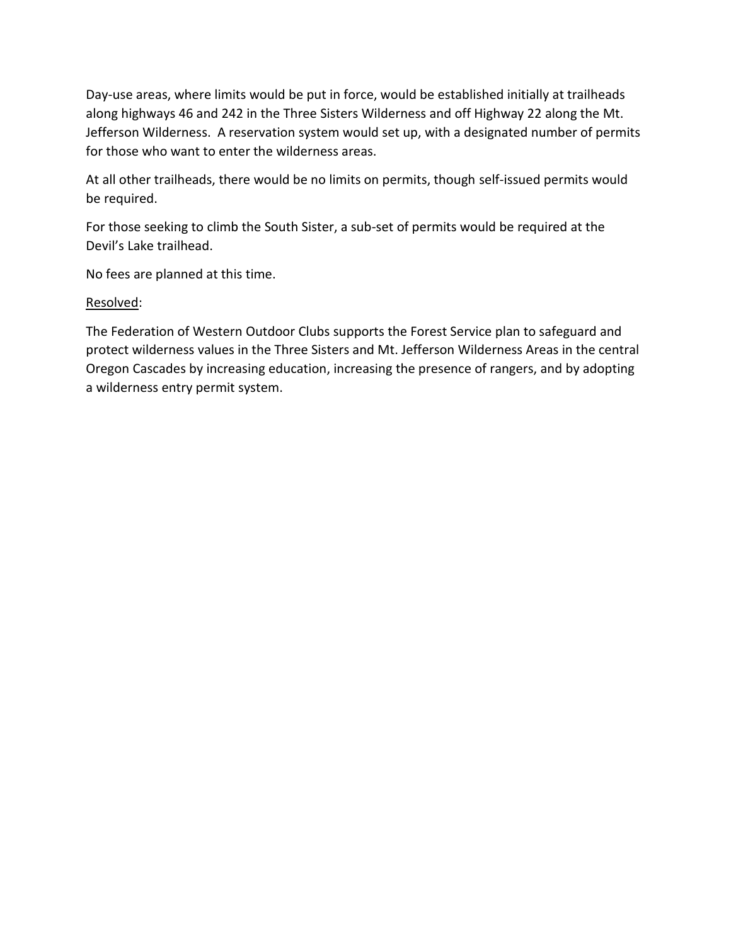Day-use areas, where limits would be put in force, would be established initially at trailheads along highways 46 and 242 in the Three Sisters Wilderness and off Highway 22 along the Mt. Jefferson Wilderness. A reservation system would set up, with a designated number of permits for those who want to enter the wilderness areas.

At all other trailheads, there would be no limits on permits, though self-issued permits would be required.

For those seeking to climb the South Sister, a sub-set of permits would be required at the Devil's Lake trailhead.

No fees are planned at this time.

#### Resolved:

The Federation of Western Outdoor Clubs supports the Forest Service plan to safeguard and protect wilderness values in the Three Sisters and Mt. Jefferson Wilderness Areas in the central Oregon Cascades by increasing education, increasing the presence of rangers, and by adopting a wilderness entry permit system.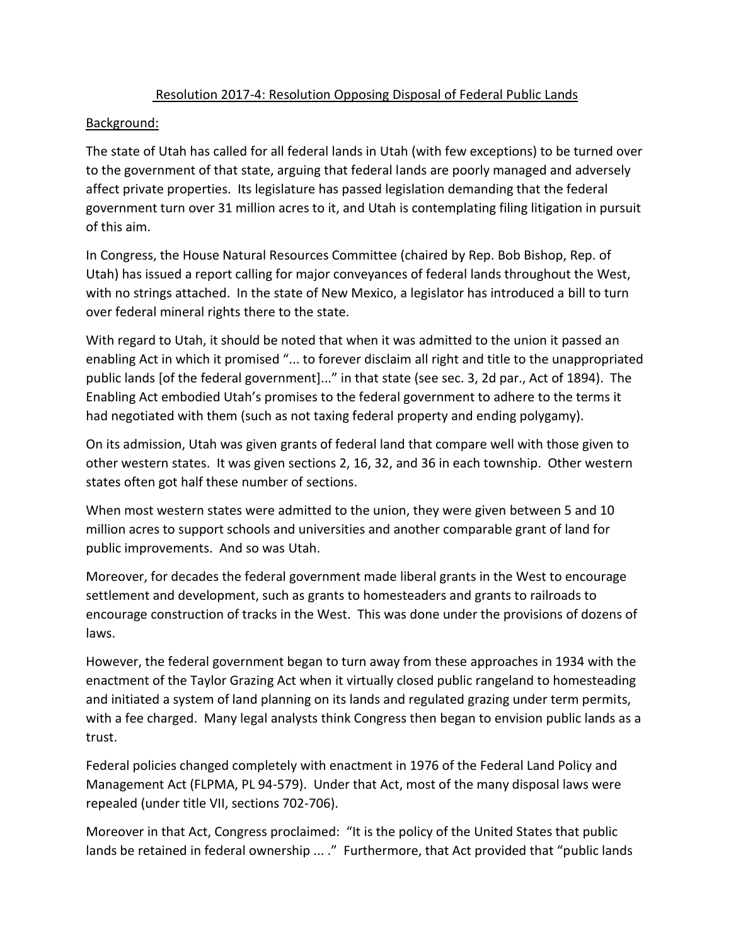#### Resolution 2017-4: Resolution Opposing Disposal of Federal Public Lands

#### Background:

The state of Utah has called for all federal lands in Utah (with few exceptions) to be turned over to the government of that state, arguing that federal lands are poorly managed and adversely affect private properties. Its legislature has passed legislation demanding that the federal government turn over 31 million acres to it, and Utah is contemplating filing litigation in pursuit of this aim.

In Congress, the House Natural Resources Committee (chaired by Rep. Bob Bishop, Rep. of Utah) has issued a report calling for major conveyances of federal lands throughout the West, with no strings attached. In the state of New Mexico, a legislator has introduced a bill to turn over federal mineral rights there to the state.

With regard to Utah, it should be noted that when it was admitted to the union it passed an enabling Act in which it promised "... to forever disclaim all right and title to the unappropriated public lands [of the federal government]..." in that state (see sec. 3, 2d par., Act of 1894). The Enabling Act embodied Utah's promises to the federal government to adhere to the terms it had negotiated with them (such as not taxing federal property and ending polygamy).

On its admission, Utah was given grants of federal land that compare well with those given to other western states. It was given sections 2, 16, 32, and 36 in each township. Other western states often got half these number of sections.

When most western states were admitted to the union, they were given between 5 and 10 million acres to support schools and universities and another comparable grant of land for public improvements. And so was Utah.

Moreover, for decades the federal government made liberal grants in the West to encourage settlement and development, such as grants to homesteaders and grants to railroads to encourage construction of tracks in the West. This was done under the provisions of dozens of laws.

However, the federal government began to turn away from these approaches in 1934 with the enactment of the Taylor Grazing Act when it virtually closed public rangeland to homesteading and initiated a system of land planning on its lands and regulated grazing under term permits, with a fee charged. Many legal analysts think Congress then began to envision public lands as a trust.

Federal policies changed completely with enactment in 1976 of the Federal Land Policy and Management Act (FLPMA, PL 94-579). Under that Act, most of the many disposal laws were repealed (under title VII, sections 702-706).

Moreover in that Act, Congress proclaimed: "It is the policy of the United States that public lands be retained in federal ownership ... ." Furthermore, that Act provided that "public lands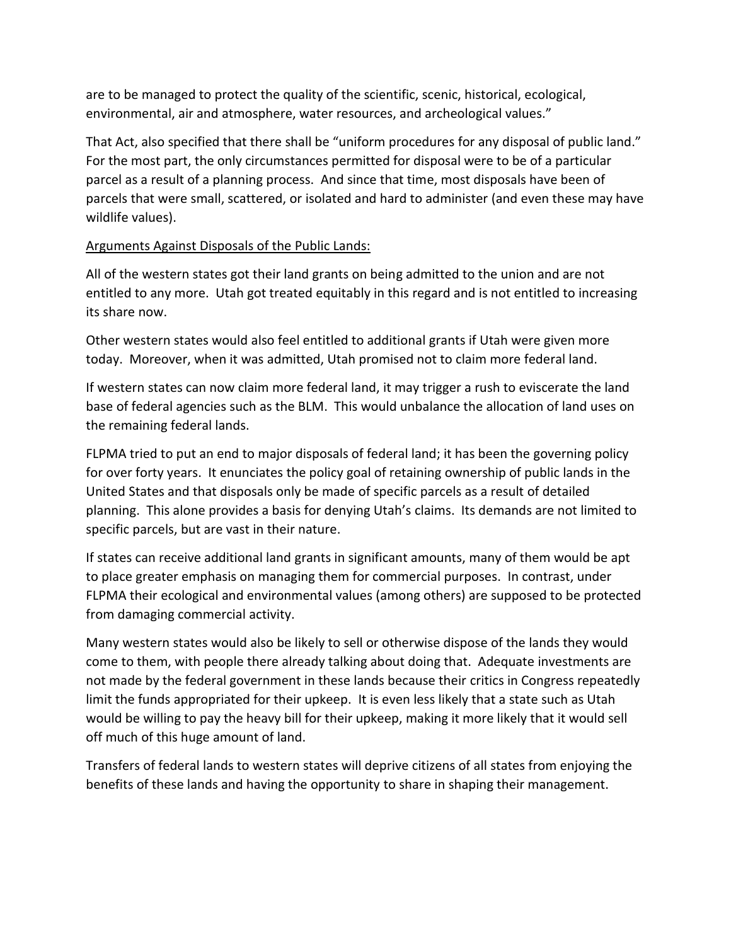are to be managed to protect the quality of the scientific, scenic, historical, ecological, environmental, air and atmosphere, water resources, and archeological values."

That Act, also specified that there shall be "uniform procedures for any disposal of public land." For the most part, the only circumstances permitted for disposal were to be of a particular parcel as a result of a planning process. And since that time, most disposals have been of parcels that were small, scattered, or isolated and hard to administer (and even these may have wildlife values).

#### Arguments Against Disposals of the Public Lands:

All of the western states got their land grants on being admitted to the union and are not entitled to any more. Utah got treated equitably in this regard and is not entitled to increasing its share now.

Other western states would also feel entitled to additional grants if Utah were given more today. Moreover, when it was admitted, Utah promised not to claim more federal land.

If western states can now claim more federal land, it may trigger a rush to eviscerate the land base of federal agencies such as the BLM. This would unbalance the allocation of land uses on the remaining federal lands.

FLPMA tried to put an end to major disposals of federal land; it has been the governing policy for over forty years. It enunciates the policy goal of retaining ownership of public lands in the United States and that disposals only be made of specific parcels as a result of detailed planning. This alone provides a basis for denying Utah's claims. Its demands are not limited to specific parcels, but are vast in their nature.

If states can receive additional land grants in significant amounts, many of them would be apt to place greater emphasis on managing them for commercial purposes. In contrast, under FLPMA their ecological and environmental values (among others) are supposed to be protected from damaging commercial activity.

Many western states would also be likely to sell or otherwise dispose of the lands they would come to them, with people there already talking about doing that. Adequate investments are not made by the federal government in these lands because their critics in Congress repeatedly limit the funds appropriated for their upkeep. It is even less likely that a state such as Utah would be willing to pay the heavy bill for their upkeep, making it more likely that it would sell off much of this huge amount of land.

Transfers of federal lands to western states will deprive citizens of all states from enjoying the benefits of these lands and having the opportunity to share in shaping their management.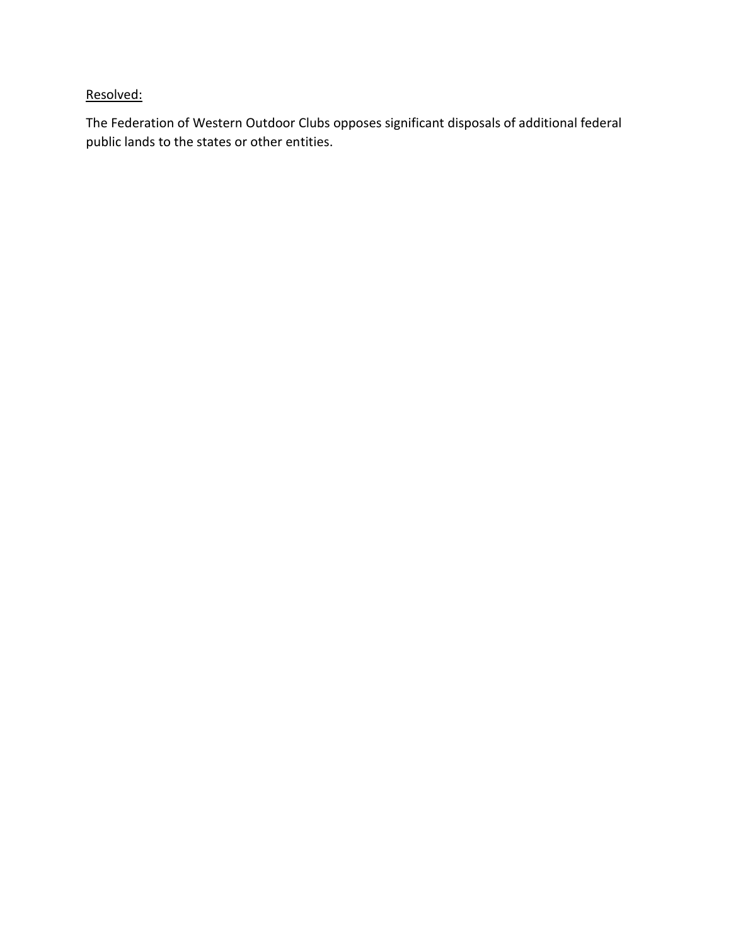# Resolved:

The Federation of Western Outdoor Clubs opposes significant disposals of additional federal public lands to the states or other entities.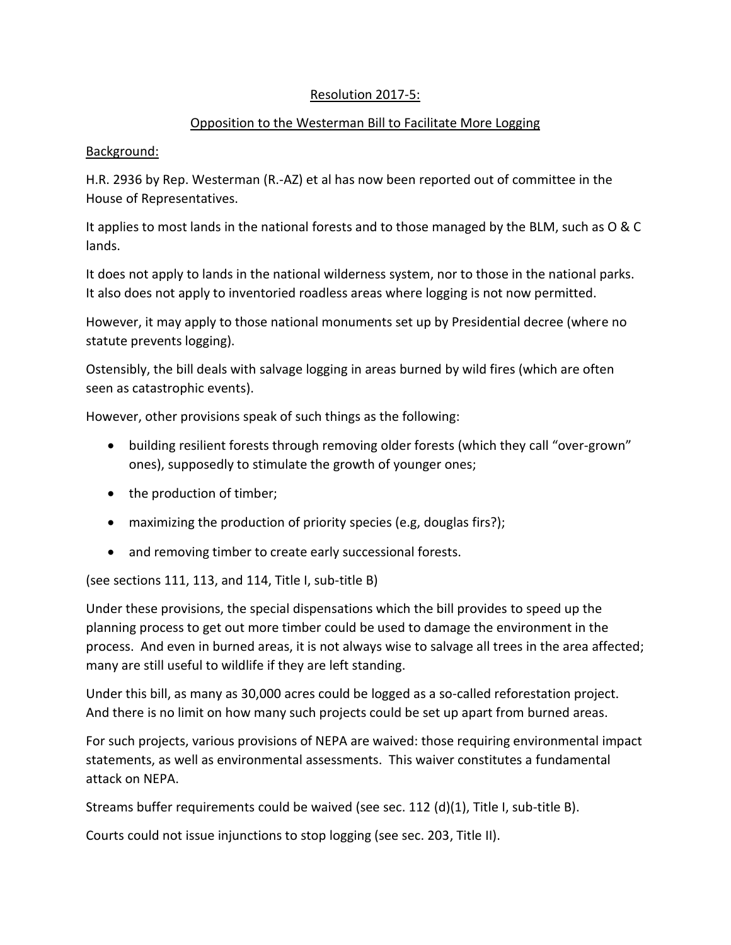### Resolution 2017-5:

#### Opposition to the Westerman Bill to Facilitate More Logging

#### Background:

H.R. 2936 by Rep. Westerman (R.-AZ) et al has now been reported out of committee in the House of Representatives.

It applies to most lands in the national forests and to those managed by the BLM, such as O & C lands.

It does not apply to lands in the national wilderness system, nor to those in the national parks. It also does not apply to inventoried roadless areas where logging is not now permitted.

However, it may apply to those national monuments set up by Presidential decree (where no statute prevents logging).

Ostensibly, the bill deals with salvage logging in areas burned by wild fires (which are often seen as catastrophic events).

However, other provisions speak of such things as the following:

- building resilient forests through removing older forests (which they call "over-grown" ones), supposedly to stimulate the growth of younger ones;
- the production of timber;
- maximizing the production of priority species (e.g, douglas firs?);
- and removing timber to create early successional forests.

(see sections 111, 113, and 114, Title I, sub-title B)

Under these provisions, the special dispensations which the bill provides to speed up the planning process to get out more timber could be used to damage the environment in the process. And even in burned areas, it is not always wise to salvage all trees in the area affected; many are still useful to wildlife if they are left standing.

Under this bill, as many as 30,000 acres could be logged as a so-called reforestation project. And there is no limit on how many such projects could be set up apart from burned areas.

For such projects, various provisions of NEPA are waived: those requiring environmental impact statements, as well as environmental assessments. This waiver constitutes a fundamental attack on NEPA.

Streams buffer requirements could be waived (see sec. 112 (d)(1), Title I, sub-title B).

Courts could not issue injunctions to stop logging (see sec. 203, Title II).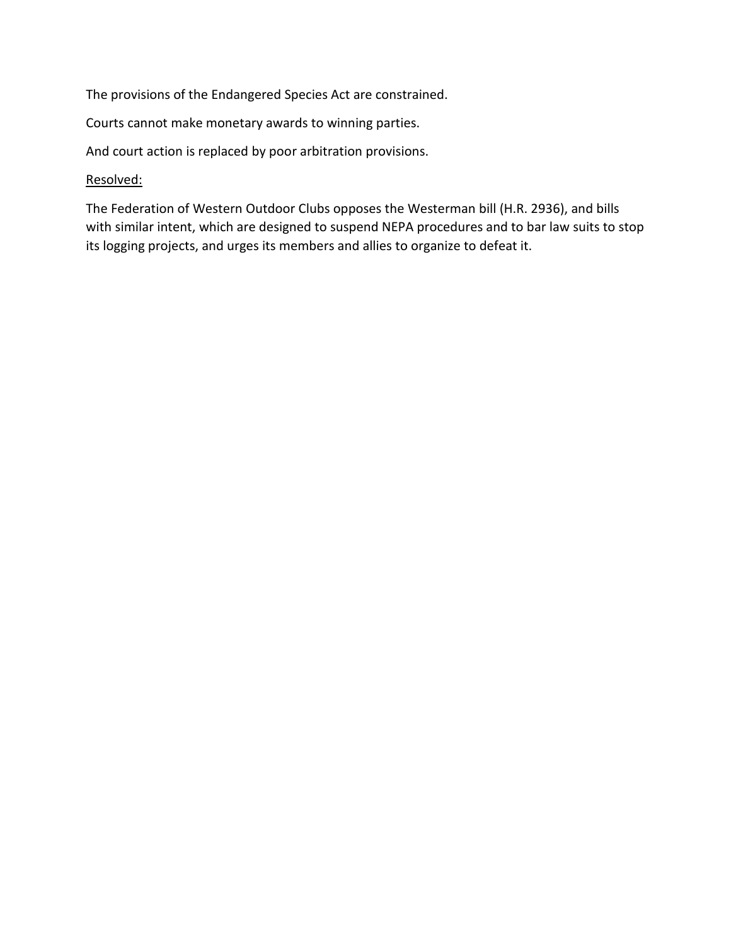The provisions of the Endangered Species Act are constrained.

Courts cannot make monetary awards to winning parties.

And court action is replaced by poor arbitration provisions.

#### Resolved:

The Federation of Western Outdoor Clubs opposes the Westerman bill (H.R. 2936), and bills with similar intent, which are designed to suspend NEPA procedures and to bar law suits to stop its logging projects, and urges its members and allies to organize to defeat it.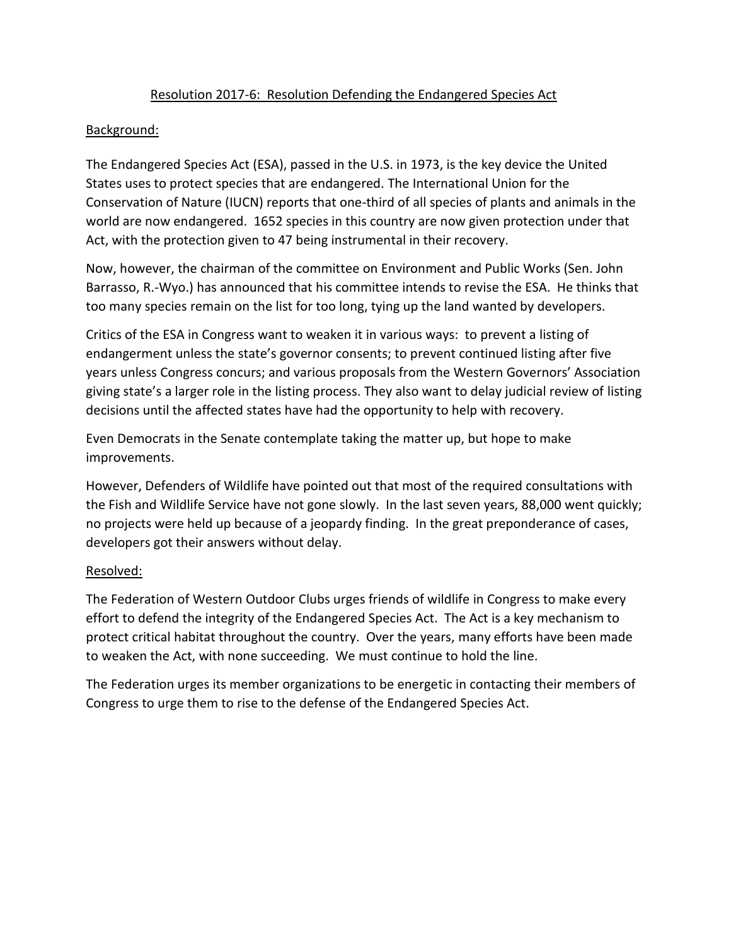### Resolution 2017-6: Resolution Defending the Endangered Species Act

#### Background:

The Endangered Species Act (ESA), passed in the U.S. in 1973, is the key device the United States uses to protect species that are endangered. The International Union for the Conservation of Nature (IUCN) reports that one-third of all species of plants and animals in the world are now endangered. 1652 species in this country are now given protection under that Act, with the protection given to 47 being instrumental in their recovery.

Now, however, the chairman of the committee on Environment and Public Works (Sen. John Barrasso, R.-Wyo.) has announced that his committee intends to revise the ESA. He thinks that too many species remain on the list for too long, tying up the land wanted by developers.

Critics of the ESA in Congress want to weaken it in various ways: to prevent a listing of endangerment unless the state's governor consents; to prevent continued listing after five years unless Congress concurs; and various proposals from the Western Governors' Association giving state's a larger role in the listing process. They also want to delay judicial review of listing decisions until the affected states have had the opportunity to help with recovery.

Even Democrats in the Senate contemplate taking the matter up, but hope to make improvements.

However, Defenders of Wildlife have pointed out that most of the required consultations with the Fish and Wildlife Service have not gone slowly. In the last seven years, 88,000 went quickly; no projects were held up because of a jeopardy finding. In the great preponderance of cases, developers got their answers without delay.

#### Resolved:

The Federation of Western Outdoor Clubs urges friends of wildlife in Congress to make every effort to defend the integrity of the Endangered Species Act. The Act is a key mechanism to protect critical habitat throughout the country. Over the years, many efforts have been made to weaken the Act, with none succeeding. We must continue to hold the line.

The Federation urges its member organizations to be energetic in contacting their members of Congress to urge them to rise to the defense of the Endangered Species Act.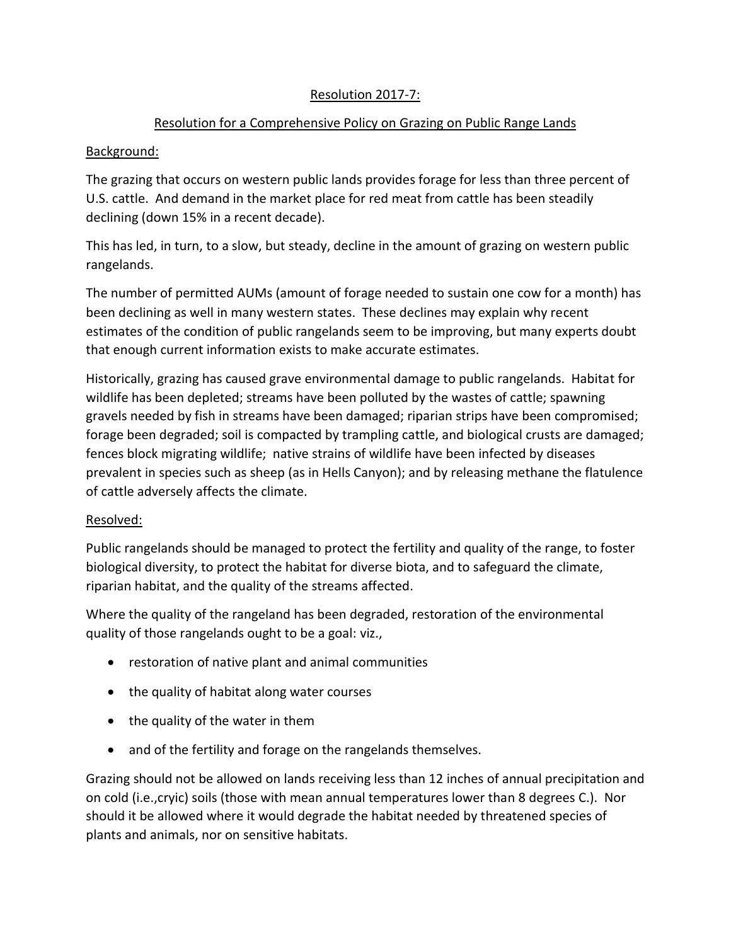## Resolution 2017-7:

### Resolution for a Comprehensive Policy on Grazing on Public Range Lands

### Background:

The grazing that occurs on western public lands provides forage for less than three percent of U.S. cattle. And demand in the market place for red meat from cattle has been steadily declining (down 15% in a recent decade).

This has led, in turn, to a slow, but steady, decline in the amount of grazing on western public rangelands.

The number of permitted AUMs (amount of forage needed to sustain one cow for a month) has been declining as well in many western states. These declines may explain why recent estimates of the condition of public rangelands seem to be improving, but many experts doubt that enough current information exists to make accurate estimates.

Historically, grazing has caused grave environmental damage to public rangelands. Habitat for wildlife has been depleted; streams have been polluted by the wastes of cattle; spawning gravels needed by fish in streams have been damaged; riparian strips have been compromised; forage been degraded; soil is compacted by trampling cattle, and biological crusts are damaged; fences block migrating wildlife; native strains of wildlife have been infected by diseases prevalent in species such as sheep (as in Hells Canyon); and by releasing methane the flatulence of cattle adversely affects the climate.

#### Resolved:

Public rangelands should be managed to protect the fertility and quality of the range, to foster biological diversity, to protect the habitat for diverse biota, and to safeguard the climate, riparian habitat, and the quality of the streams affected.

Where the quality of the rangeland has been degraded, restoration of the environmental quality of those rangelands ought to be a goal: viz.,

- restoration of native plant and animal communities
- the quality of habitat along water courses
- the quality of the water in them
- and of the fertility and forage on the rangelands themselves.

Grazing should not be allowed on lands receiving less than 12 inches of annual precipitation and on cold (i.e.,cryic) soils (those with mean annual temperatures lower than 8 degrees C.). Nor should it be allowed where it would degrade the habitat needed by threatened species of plants and animals, nor on sensitive habitats.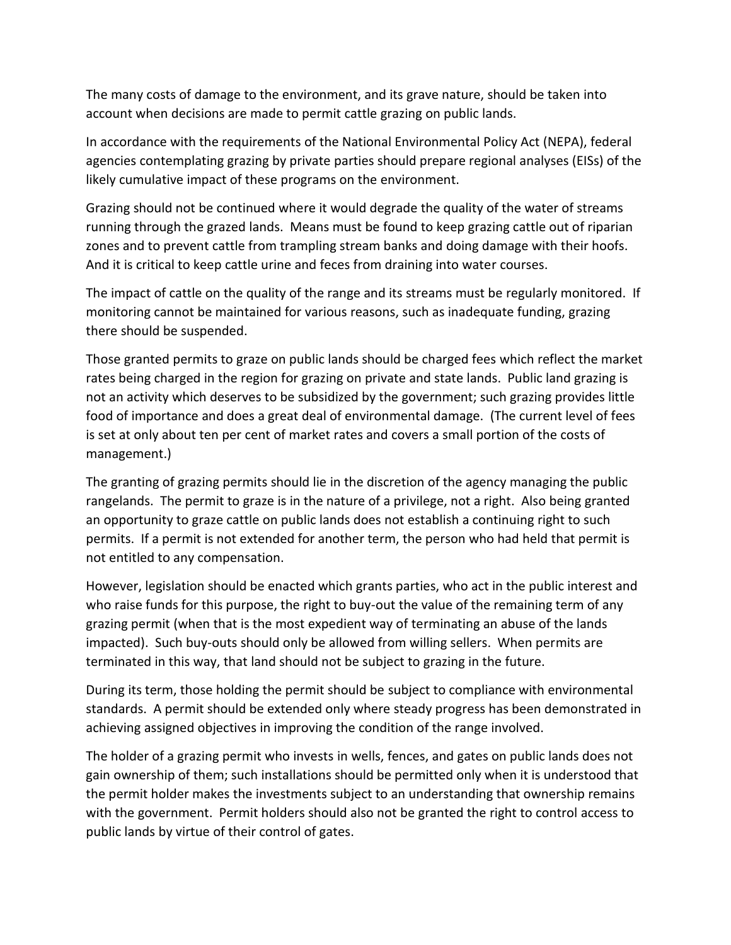The many costs of damage to the environment, and its grave nature, should be taken into account when decisions are made to permit cattle grazing on public lands.

In accordance with the requirements of the National Environmental Policy Act (NEPA), federal agencies contemplating grazing by private parties should prepare regional analyses (EISs) of the likely cumulative impact of these programs on the environment.

Grazing should not be continued where it would degrade the quality of the water of streams running through the grazed lands. Means must be found to keep grazing cattle out of riparian zones and to prevent cattle from trampling stream banks and doing damage with their hoofs. And it is critical to keep cattle urine and feces from draining into water courses.

The impact of cattle on the quality of the range and its streams must be regularly monitored. If monitoring cannot be maintained for various reasons, such as inadequate funding, grazing there should be suspended.

Those granted permits to graze on public lands should be charged fees which reflect the market rates being charged in the region for grazing on private and state lands. Public land grazing is not an activity which deserves to be subsidized by the government; such grazing provides little food of importance and does a great deal of environmental damage. (The current level of fees is set at only about ten per cent of market rates and covers a small portion of the costs of management.)

The granting of grazing permits should lie in the discretion of the agency managing the public rangelands. The permit to graze is in the nature of a privilege, not a right. Also being granted an opportunity to graze cattle on public lands does not establish a continuing right to such permits. If a permit is not extended for another term, the person who had held that permit is not entitled to any compensation.

However, legislation should be enacted which grants parties, who act in the public interest and who raise funds for this purpose, the right to buy-out the value of the remaining term of any grazing permit (when that is the most expedient way of terminating an abuse of the lands impacted). Such buy-outs should only be allowed from willing sellers. When permits are terminated in this way, that land should not be subject to grazing in the future.

During its term, those holding the permit should be subject to compliance with environmental standards. A permit should be extended only where steady progress has been demonstrated in achieving assigned objectives in improving the condition of the range involved.

The holder of a grazing permit who invests in wells, fences, and gates on public lands does not gain ownership of them; such installations should be permitted only when it is understood that the permit holder makes the investments subject to an understanding that ownership remains with the government. Permit holders should also not be granted the right to control access to public lands by virtue of their control of gates.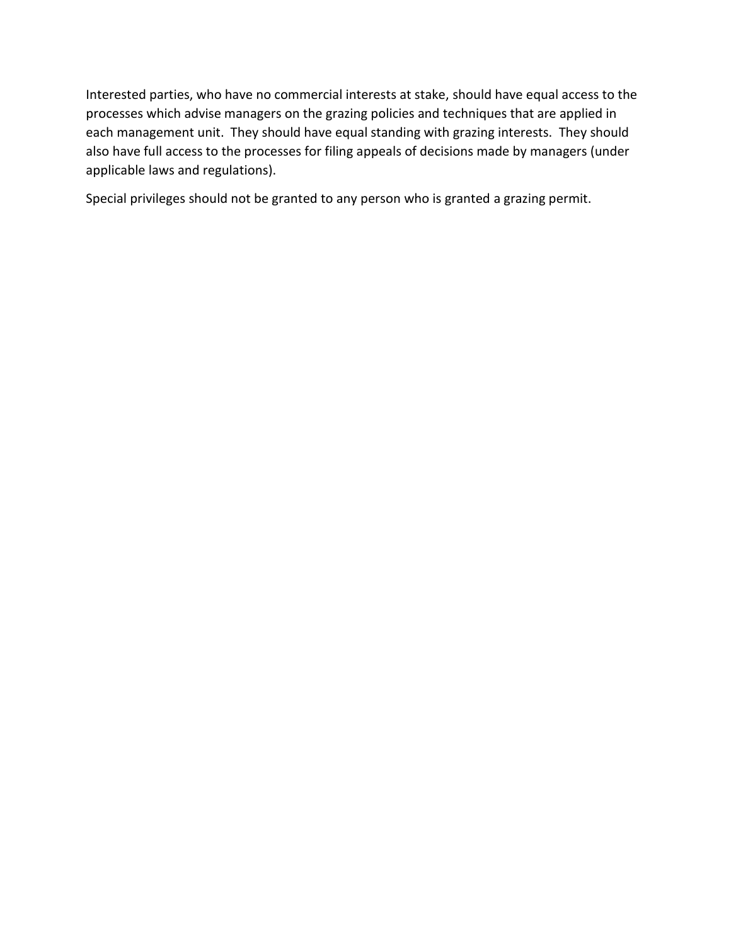Interested parties, who have no commercial interests at stake, should have equal access to the processes which advise managers on the grazing policies and techniques that are applied in each management unit. They should have equal standing with grazing interests. They should also have full access to the processes for filing appeals of decisions made by managers (under applicable laws and regulations).

Special privileges should not be granted to any person who is granted a grazing permit.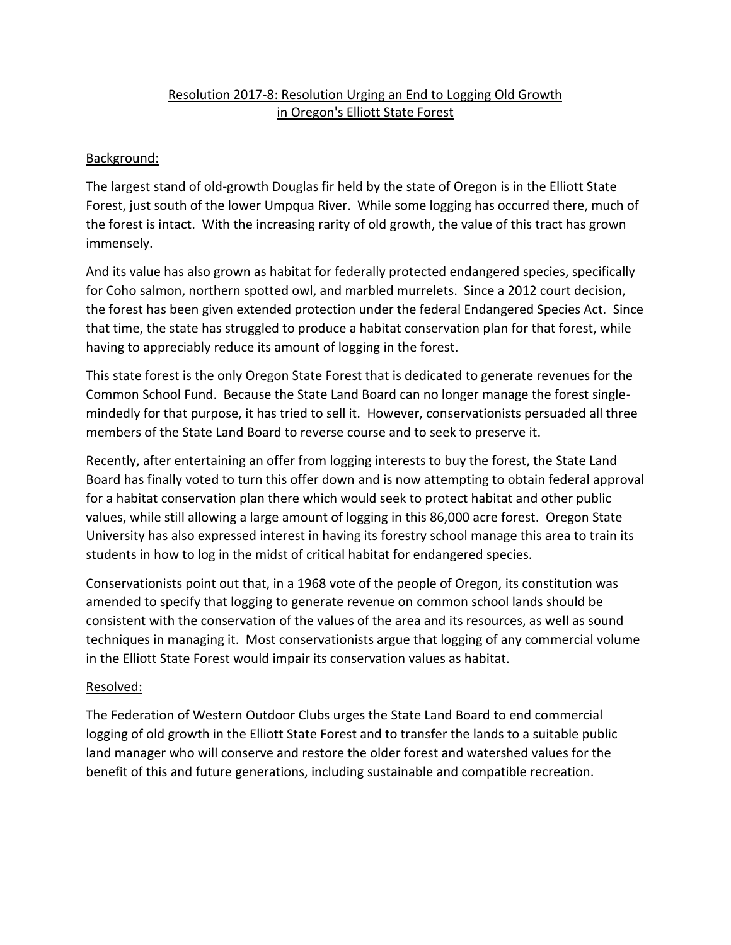## Resolution 2017-8: Resolution Urging an End to Logging Old Growth in Oregon's Elliott State Forest

#### Background:

The largest stand of old-growth Douglas fir held by the state of Oregon is in the Elliott State Forest, just south of the lower Umpqua River. While some logging has occurred there, much of the forest is intact. With the increasing rarity of old growth, the value of this tract has grown immensely.

And its value has also grown as habitat for federally protected endangered species, specifically for Coho salmon, northern spotted owl, and marbled murrelets. Since a 2012 court decision, the forest has been given extended protection under the federal Endangered Species Act. Since that time, the state has struggled to produce a habitat conservation plan for that forest, while having to appreciably reduce its amount of logging in the forest.

This state forest is the only Oregon State Forest that is dedicated to generate revenues for the Common School Fund. Because the State Land Board can no longer manage the forest singlemindedly for that purpose, it has tried to sell it. However, conservationists persuaded all three members of the State Land Board to reverse course and to seek to preserve it.

Recently, after entertaining an offer from logging interests to buy the forest, the State Land Board has finally voted to turn this offer down and is now attempting to obtain federal approval for a habitat conservation plan there which would seek to protect habitat and other public values, while still allowing a large amount of logging in this 86,000 acre forest. Oregon State University has also expressed interest in having its forestry school manage this area to train its students in how to log in the midst of critical habitat for endangered species.

Conservationists point out that, in a 1968 vote of the people of Oregon, its constitution was amended to specify that logging to generate revenue on common school lands should be consistent with the conservation of the values of the area and its resources, as well as sound techniques in managing it. Most conservationists argue that logging of any commercial volume in the Elliott State Forest would impair its conservation values as habitat.

#### Resolved:

The Federation of Western Outdoor Clubs urges the State Land Board to end commercial logging of old growth in the Elliott State Forest and to transfer the lands to a suitable public land manager who will conserve and restore the older forest and watershed values for the benefit of this and future generations, including sustainable and compatible recreation.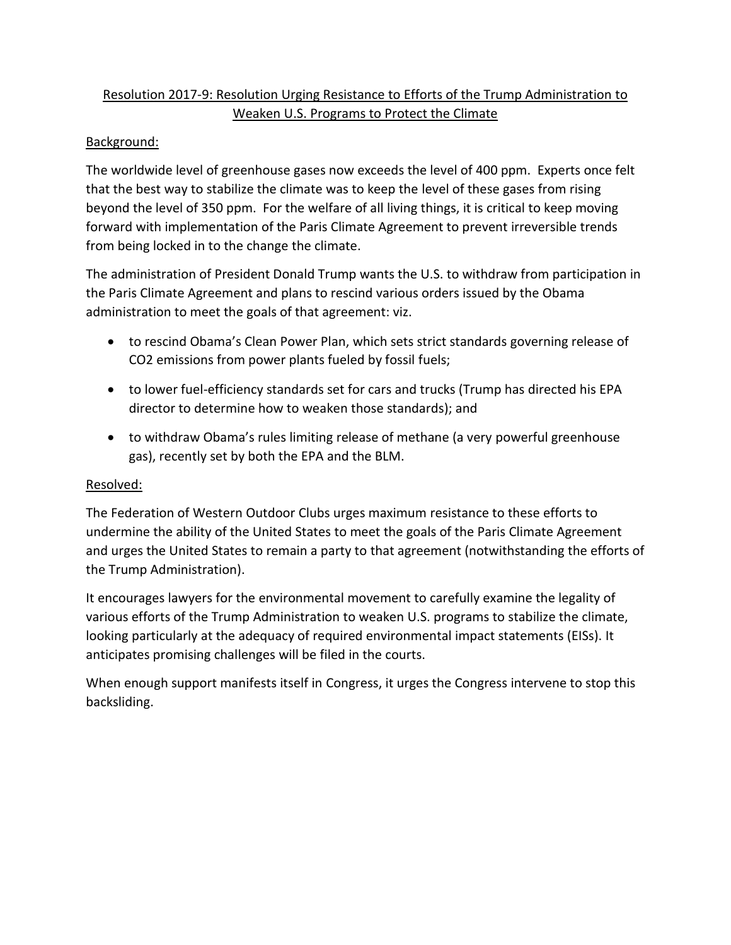# Resolution 2017-9: Resolution Urging Resistance to Efforts of the Trump Administration to Weaken U.S. Programs to Protect the Climate

## Background:

The worldwide level of greenhouse gases now exceeds the level of 400 ppm. Experts once felt that the best way to stabilize the climate was to keep the level of these gases from rising beyond the level of 350 ppm. For the welfare of all living things, it is critical to keep moving forward with implementation of the Paris Climate Agreement to prevent irreversible trends from being locked in to the change the climate.

The administration of President Donald Trump wants the U.S. to withdraw from participation in the Paris Climate Agreement and plans to rescind various orders issued by the Obama administration to meet the goals of that agreement: viz.

- to rescind Obama's Clean Power Plan, which sets strict standards governing release of CO2 emissions from power plants fueled by fossil fuels;
- to lower fuel-efficiency standards set for cars and trucks (Trump has directed his EPA director to determine how to weaken those standards); and
- to withdraw Obama's rules limiting release of methane (a very powerful greenhouse gas), recently set by both the EPA and the BLM.

#### Resolved:

The Federation of Western Outdoor Clubs urges maximum resistance to these efforts to undermine the ability of the United States to meet the goals of the Paris Climate Agreement and urges the United States to remain a party to that agreement (notwithstanding the efforts of the Trump Administration).

It encourages lawyers for the environmental movement to carefully examine the legality of various efforts of the Trump Administration to weaken U.S. programs to stabilize the climate, looking particularly at the adequacy of required environmental impact statements (EISs). It anticipates promising challenges will be filed in the courts.

When enough support manifests itself in Congress, it urges the Congress intervene to stop this backsliding.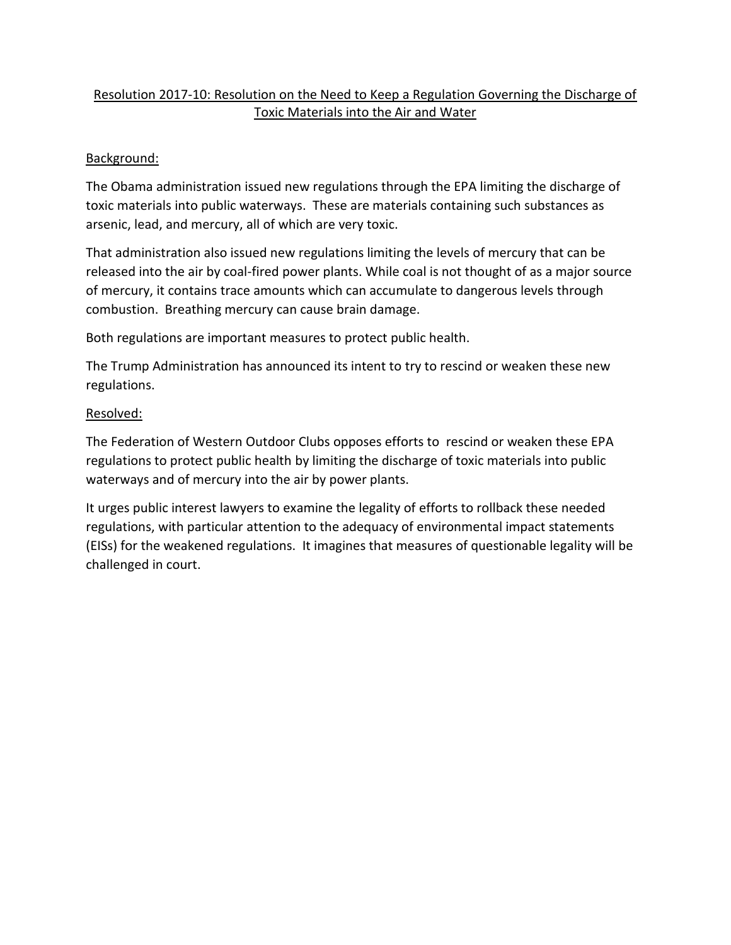## Resolution 2017-10: Resolution on the Need to Keep a Regulation Governing the Discharge of Toxic Materials into the Air and Water

### Background:

The Obama administration issued new regulations through the EPA limiting the discharge of toxic materials into public waterways. These are materials containing such substances as arsenic, lead, and mercury, all of which are very toxic.

That administration also issued new regulations limiting the levels of mercury that can be released into the air by coal-fired power plants. While coal is not thought of as a major source of mercury, it contains trace amounts which can accumulate to dangerous levels through combustion. Breathing mercury can cause brain damage.

Both regulations are important measures to protect public health.

The Trump Administration has announced its intent to try to rescind or weaken these new regulations.

### Resolved:

The Federation of Western Outdoor Clubs opposes efforts to rescind or weaken these EPA regulations to protect public health by limiting the discharge of toxic materials into public waterways and of mercury into the air by power plants.

It urges public interest lawyers to examine the legality of efforts to rollback these needed regulations, with particular attention to the adequacy of environmental impact statements (EISs) for the weakened regulations. It imagines that measures of questionable legality will be challenged in court.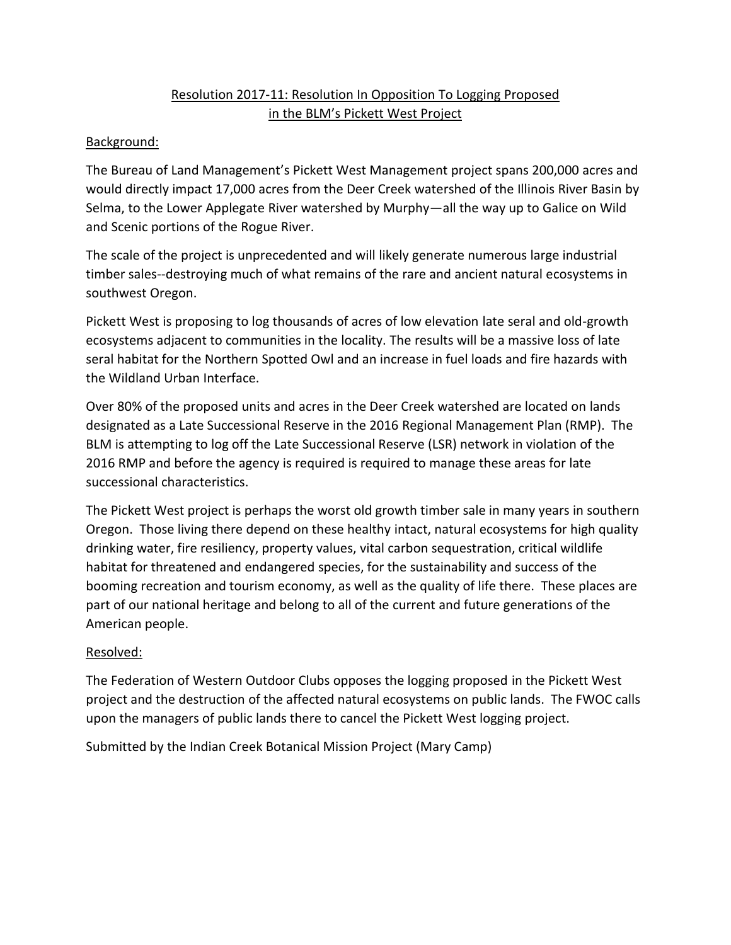# Resolution 2017-11: Resolution In Opposition To Logging Proposed in the BLM's Pickett West Project

#### Background:

The Bureau of Land Management's Pickett West Management project spans 200,000 acres and would directly impact 17,000 acres from the Deer Creek watershed of the Illinois River Basin by Selma, to the Lower Applegate River watershed by Murphy—all the way up to Galice on Wild and Scenic portions of the Rogue River.

The scale of the project is unprecedented and will likely generate numerous large industrial timber sales--destroying much of what remains of the rare and ancient natural ecosystems in southwest Oregon.

Pickett West is proposing to log thousands of acres of low elevation late seral and old-growth ecosystems adjacent to communities in the locality. The results will be a massive loss of late seral habitat for the Northern Spotted Owl and an increase in fuel loads and fire hazards with the Wildland Urban Interface.

Over 80% of the proposed units and acres in the Deer Creek watershed are located on lands designated as a Late Successional Reserve in the 2016 Regional Management Plan (RMP). The BLM is attempting to log off the Late Successional Reserve (LSR) network in violation of the 2016 RMP and before the agency is required is required to manage these areas for late successional characteristics.

The Pickett West project is perhaps the worst old growth timber sale in many years in southern Oregon. Those living there depend on these healthy intact, natural ecosystems for high quality drinking water, fire resiliency, property values, vital carbon sequestration, critical wildlife habitat for threatened and endangered species, for the sustainability and success of the booming recreation and tourism economy, as well as the quality of life there. These places are part of our national heritage and belong to all of the current and future generations of the American people.

#### Resolved:

The Federation of Western Outdoor Clubs opposes the logging proposed in the Pickett West project and the destruction of the affected natural ecosystems on public lands. The FWOC calls upon the managers of public lands there to cancel the Pickett West logging project.

Submitted by the Indian Creek Botanical Mission Project (Mary Camp)